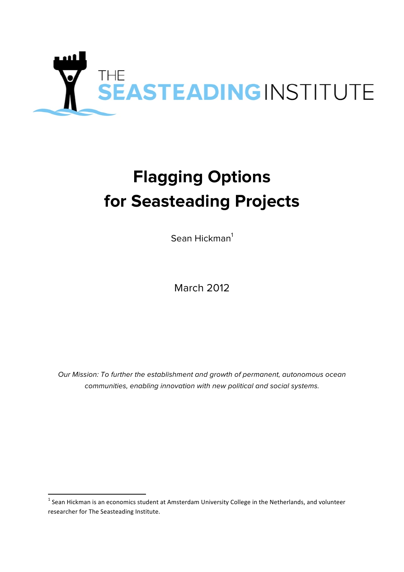

# **Flagging Options for Seasteading Projects**

Sean Hickman<sup>1</sup>

March 2012

*Our Mission: To further the establishment and growth of permanent, autonomous ocean communities, enabling innovation with new political and social systems.*

 $1$  Sean Hickman is an economics student at Amsterdam University College in the Netherlands, and volunteer researcher for The Seasteading Institute.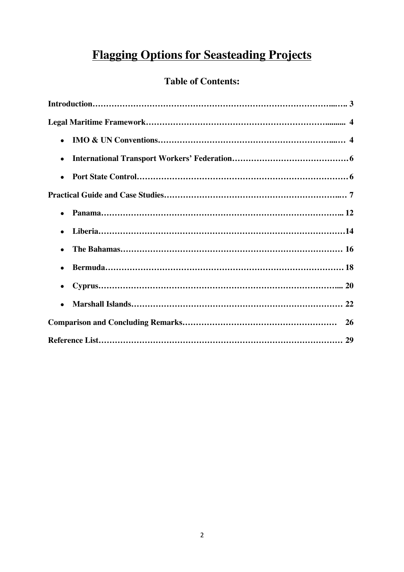# **Flagging Options for Seasteading Projects**

# **Table of Contents:**

| $\bullet$ |
|-----------|
| $\bullet$ |
| $\bullet$ |
|           |
| $\bullet$ |
| $\bullet$ |
|           |
| $\bullet$ |
|           |
| $\bullet$ |
|           |
|           |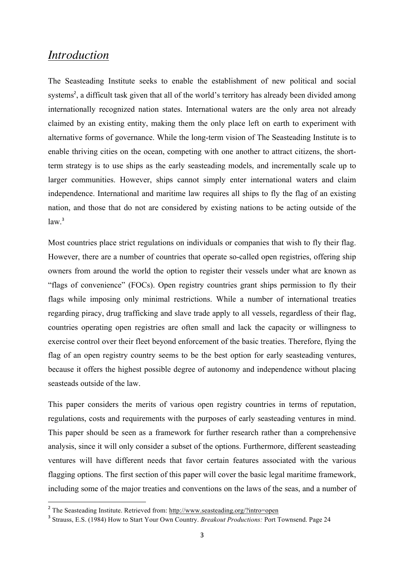### *Introduction*

The Seasteading Institute seeks to enable the establishment of new political and social systems<sup>2</sup>, a difficult task given that all of the world's territory has already been divided among internationally recognized nation states. International waters are the only area not already claimed by an existing entity, making them the only place left on earth to experiment with alternative forms of governance. While the long-term vision of The Seasteading Institute is to enable thriving cities on the ocean, competing with one another to attract citizens, the shortterm strategy is to use ships as the early seasteading models, and incrementally scale up to larger communities. However, ships cannot simply enter international waters and claim independence. International and maritime law requires all ships to fly the flag of an existing nation, and those that do not are considered by existing nations to be acting outside of the  $law<sup>3</sup>$ 

Most countries place strict regulations on individuals or companies that wish to fly their flag. However, there are a number of countries that operate so-called open registries, offering ship owners from around the world the option to register their vessels under what are known as "flags of convenience" (FOCs). Open registry countries grant ships permission to fly their flags while imposing only minimal restrictions. While a number of international treaties regarding piracy, drug trafficking and slave trade apply to all vessels, regardless of their flag, countries operating open registries are often small and lack the capacity or willingness to exercise control over their fleet beyond enforcement of the basic treaties. Therefore, flying the flag of an open registry country seems to be the best option for early seasteading ventures, because it offers the highest possible degree of autonomy and independence without placing seasteads outside of the law.

This paper considers the merits of various open registry countries in terms of reputation, regulations, costs and requirements with the purposes of early seasteading ventures in mind. This paper should be seen as a framework for further research rather than a comprehensive analysis, since it will only consider a subset of the options. Furthermore, different seasteading ventures will have different needs that favor certain features associated with the various flagging options. The first section of this paper will cover the basic legal maritime framework, including some of the major treaties and conventions on the laws of the seas, and a number of

<sup>2</sup> The Seasteading Institute. Retrieved from: http://www.seasteading.org/?intro=open

<sup>3</sup> Strauss, E.S. (1984) How to Start Your Own Country. *Breakout Productions:* Port Townsend. Page 24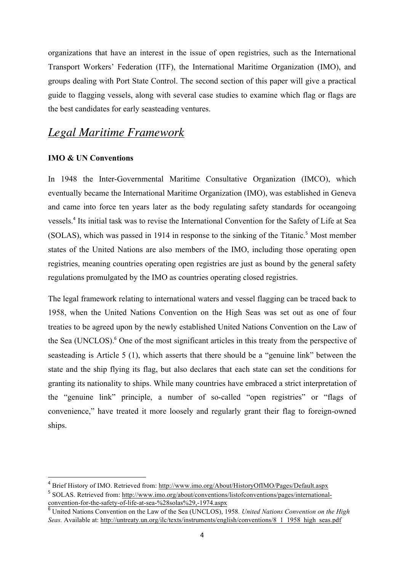organizations that have an interest in the issue of open registries, such as the International Transport Workers' Federation (ITF), the International Maritime Organization (IMO), and groups dealing with Port State Control. The second section of this paper will give a practical guide to flagging vessels, along with several case studies to examine which flag or flags are the best candidates for early seasteading ventures.

### *Legal Maritime Framework*

#### **IMO & UN Conventions**

 

In 1948 the Inter-Governmental Maritime Consultative Organization (IMCO), which eventually became the International Maritime Organization (IMO), was established in Geneva and came into force ten years later as the body regulating safety standards for oceangoing vessels.<sup>4</sup> Its initial task was to revise the International Convention for the Safety of Life at Sea (SOLAS), which was passed in 1914 in response to the sinking of the Titanic.<sup>5</sup> Most member states of the United Nations are also members of the IMO, including those operating open registries, meaning countries operating open registries are just as bound by the general safety regulations promulgated by the IMO as countries operating closed registries.

The legal framework relating to international waters and vessel flagging can be traced back to 1958, when the United Nations Convention on the High Seas was set out as one of four treaties to be agreed upon by the newly established United Nations Convention on the Law of the Sea (UNCLOS).<sup>6</sup> One of the most significant articles in this treaty from the perspective of seasteading is Article 5 (1), which asserts that there should be a "genuine link" between the state and the ship flying its flag, but also declares that each state can set the conditions for granting its nationality to ships. While many countries have embraced a strict interpretation of the "genuine link" principle, a number of so-called "open registries" or "flags of convenience," have treated it more loosely and regularly grant their flag to foreign-owned ships.

<sup>4</sup> Brief History of IMO. Retrieved from: http://www.imo.org/About/HistoryOfIMO/Pages/Default.aspx <sup>5</sup> SOLAS. Retrieved from: http://www.imo.org/about/conventions/listofconventions/pages/internationalconvention-for-the-safety-of-life-at-sea-%28solas%29,-1974.aspx

<sup>6</sup> United Nations Convention on the Law of the Sea (UNCLOS), 1958*. United Nations Convention on the High Seas.* Available at: http://untreaty.un.org/ilc/texts/instruments/english/conventions/8\_1\_1958\_high\_seas.pdf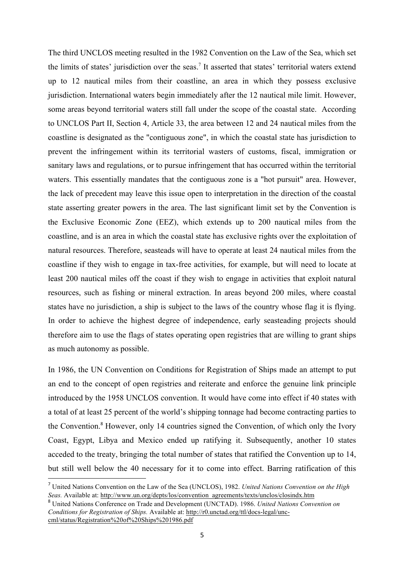The third UNCLOS meeting resulted in the 1982 Convention on the Law of the Sea, which set the limits of states' jurisdiction over the seas.<sup>7</sup> It asserted that states' territorial waters extend up to 12 nautical miles from their coastline, an area in which they possess exclusive jurisdiction. International waters begin immediately after the 12 nautical mile limit. However, some areas beyond territorial waters still fall under the scope of the coastal state. According to UNCLOS Part II, Section 4, Article 33, the area between 12 and 24 nautical miles from the coastline is designated as the "contiguous zone", in which the coastal state has jurisdiction to prevent the infringement within its territorial wasters of customs, fiscal, immigration or sanitary laws and regulations, or to pursue infringement that has occurred within the territorial waters. This essentially mandates that the contiguous zone is a "hot pursuit" area. However, the lack of precedent may leave this issue open to interpretation in the direction of the coastal state asserting greater powers in the area. The last significant limit set by the Convention is the Exclusive Economic Zone (EEZ), which extends up to 200 nautical miles from the coastline, and is an area in which the coastal state has exclusive rights over the exploitation of natural resources. Therefore, seasteads will have to operate at least 24 nautical miles from the coastline if they wish to engage in tax-free activities, for example, but will need to locate at least 200 nautical miles off the coast if they wish to engage in activities that exploit natural resources, such as fishing or mineral extraction. In areas beyond 200 miles, where coastal states have no jurisdiction, a ship is subject to the laws of the country whose flag it is flying. In order to achieve the highest degree of independence, early seasteading projects should therefore aim to use the flags of states operating open registries that are willing to grant ships as much autonomy as possible.

In 1986, the UN Convention on Conditions for Registration of Ships made an attempt to put an end to the concept of open registries and reiterate and enforce the genuine link principle introduced by the 1958 UNCLOS convention. It would have come into effect if 40 states with a total of at least 25 percent of the world's shipping tonnage had become contracting parties to the Convention.<sup>8</sup> However, only 14 countries signed the Convention, of which only the Ivory Coast, Egypt, Libya and Mexico ended up ratifying it. Subsequently, another 10 states acceded to the treaty, bringing the total number of states that ratified the Convention up to 14, but still well below the 40 necessary for it to come into effect. Barring ratification of this

<sup>7</sup> United Nations Convention on the Law of the Sea (UNCLOS), 1982. *United Nations Convention on the High Seas.* Available at: http://www.un.org/depts/los/convention\_agreements/texts/unclos/closindx.htm

<sup>8</sup> United Nations Conference on Trade and Development (UNCTAD). 1986. *United Nations Convention on Conditions for Registration of Ships.* Available at: http://r0.unctad.org/ttl/docs-legal/unccml/status/Registration%20of%20Ships%201986.pdf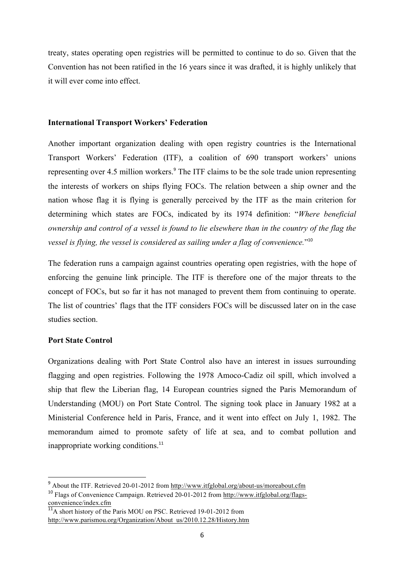treaty, states operating open registries will be permitted to continue to do so. Given that the Convention has not been ratified in the 16 years since it was drafted, it is highly unlikely that it will ever come into effect.

#### **International Transport Workers' Federation**

Another important organization dealing with open registry countries is the International Transport Workers' Federation (ITF), a coalition of 690 transport workers' unions representing over 4.5 million workers.<sup>9</sup> The ITF claims to be the sole trade union representing the interests of workers on ships flying FOCs. The relation between a ship owner and the nation whose flag it is flying is generally perceived by the ITF as the main criterion for determining which states are FOCs, indicated by its 1974 definition: "*Where beneficial ownership and control of a vessel is found to lie elsewhere than in the country of the flag the vessel is flying, the vessel is considered as sailing under a flag of convenience.*"<sup>10</sup>

The federation runs a campaign against countries operating open registries, with the hope of enforcing the genuine link principle. The ITF is therefore one of the major threats to the concept of FOCs, but so far it has not managed to prevent them from continuing to operate. The list of countries' flags that the ITF considers FOCs will be discussed later on in the case studies section.

#### **Port State Control**

 

Organizations dealing with Port State Control also have an interest in issues surrounding flagging and open registries. Following the 1978 Amoco-Cadiz oil spill, which involved a ship that flew the Liberian flag, 14 European countries signed the Paris Memorandum of Understanding (MOU) on Port State Control. The signing took place in January 1982 at a Ministerial Conference held in Paris, France, and it went into effect on July 1, 1982. The memorandum aimed to promote safety of life at sea, and to combat pollution and inappropriate working conditions.<sup>11</sup>

<sup>&</sup>lt;sup>9</sup> About the ITF. Retrieved 20-01-2012 from http://www.itfglobal.org/about-us/moreabout.cfm <sup>10</sup> Flags of Convenience Campaign. Retrieved 20-01-2012 from http://www.itfglobal.org/flagsconvenience/index.cfm

 $\frac{11}{11}$ A short history of the Paris MOU on PSC. Retrieved 19-01-2012 from http://www.parismou.org/Organization/About\_us/2010.12.28/History.htm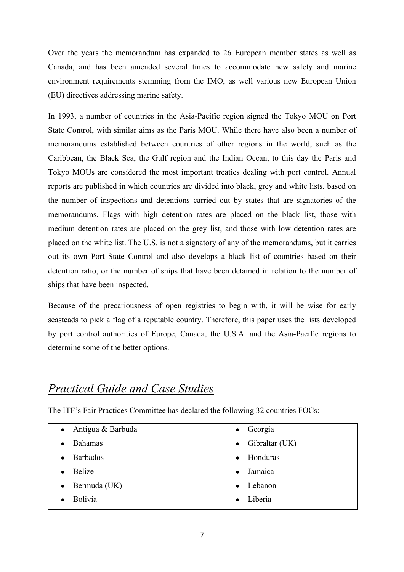Over the years the memorandum has expanded to 26 European member states as well as Canada, and has been amended several times to accommodate new safety and marine environment requirements stemming from the IMO, as well various new European Union (EU) directives addressing marine safety.

In 1993, a number of countries in the Asia-Pacific region signed the Tokyo MOU on Port State Control, with similar aims as the Paris MOU. While there have also been a number of memorandums established between countries of other regions in the world, such as the Caribbean, the Black Sea, the Gulf region and the Indian Ocean, to this day the Paris and Tokyo MOUs are considered the most important treaties dealing with port control. Annual reports are published in which countries are divided into black, grey and white lists, based on the number of inspections and detentions carried out by states that are signatories of the memorandums. Flags with high detention rates are placed on the black list, those with medium detention rates are placed on the grey list, and those with low detention rates are placed on the white list. The U.S. is not a signatory of any of the memorandums, but it carries out its own Port State Control and also develops a black list of countries based on their detention ratio, or the number of ships that have been detained in relation to the number of ships that have been inspected.

Because of the precariousness of open registries to begin with, it will be wise for early seasteads to pick a flag of a reputable country. Therefore, this paper uses the lists developed by port control authorities of Europe, Canada, the U.S.A. and the Asia-Pacific regions to determine some of the better options.

# *Practical Guide and Case Studies*

The ITF's Fair Practices Committee has declared the following 32 countries FOCs:

| Antigua & Barbuda<br>$\bullet$ | $\bullet$ Georgia        |
|--------------------------------|--------------------------|
| <b>Bahamas</b><br>$\bullet$    | $\bullet$ Gibraltar (UK) |
| <b>Barbados</b><br>$\bullet$   | Honduras<br>$\bullet$    |
| <b>Belize</b><br>$\bullet$     | Jamaica                  |
| Bermuda (UK)<br>$\bullet$      | Lebanon                  |
| Bolivia                        | Liberia                  |
|                                |                          |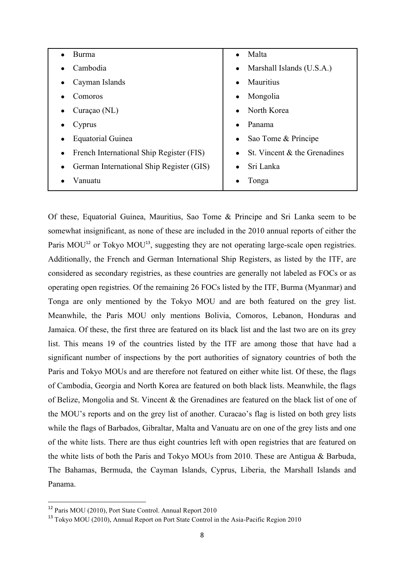| Burma                                    | Malta                         |
|------------------------------------------|-------------------------------|
| Cambodia<br>$\bullet$                    | • Marshall Islands $(U.S.A.)$ |
| Cayman Islands                           | <b>Mauritius</b>              |
| $\bullet$                                | $\bullet$                     |
| Comoros                                  | Mongolia                      |
| $\bullet$                                | $\bullet$                     |
| Curaçao (NL)                             | North Korea<br>$\bullet$      |
| Cyprus                                   | Panama                        |
| $\bullet$                                | $\bullet$                     |
| Equatorial Guinea                        | Sao Tome & Príncipe           |
| $\bullet$                                | $\bullet$                     |
| French International Ship Register (FIS) | St. Vincent & the Grenadines  |
| $\bullet$                                | $\bullet$                     |
| German International Ship Register (GIS) | Sri Lanka                     |
| $\bullet$                                | $\bullet$                     |
| Vanuatu                                  | Tonga                         |
|                                          |                               |

Of these, Equatorial Guinea, Mauritius, Sao Tome & Principe and Sri Lanka seem to be somewhat insignificant, as none of these are included in the 2010 annual reports of either the Paris MOU<sup>12</sup> or Tokyo MOU<sup>13</sup>, suggesting they are not operating large-scale open registries. Additionally, the French and German International Ship Registers, as listed by the ITF, are considered as secondary registries, as these countries are generally not labeled as FOCs or as operating open registries. Of the remaining 26 FOCs listed by the ITF, Burma (Myanmar) and Tonga are only mentioned by the Tokyo MOU and are both featured on the grey list. Meanwhile, the Paris MOU only mentions Bolivia, Comoros, Lebanon, Honduras and Jamaica. Of these, the first three are featured on its black list and the last two are on its grey list. This means 19 of the countries listed by the ITF are among those that have had a significant number of inspections by the port authorities of signatory countries of both the Paris and Tokyo MOUs and are therefore not featured on either white list. Of these, the flags of Cambodia, Georgia and North Korea are featured on both black lists. Meanwhile, the flags of Belize, Mongolia and St. Vincent & the Grenadines are featured on the black list of one of the MOU's reports and on the grey list of another. Curacao's flag is listed on both grey lists while the flags of Barbados, Gibraltar, Malta and Vanuatu are on one of the grey lists and one of the white lists. There are thus eight countries left with open registries that are featured on the white lists of both the Paris and Tokyo MOUs from 2010. These are Antigua & Barbuda, The Bahamas, Bermuda, the Cayman Islands, Cyprus, Liberia, the Marshall Islands and Panama.

<sup>12</sup> Paris MOU (2010), Port State Control. Annual Report 2010

<sup>&</sup>lt;sup>13</sup> Tokyo MOU (2010), Annual Report on Port State Control in the Asia-Pacific Region 2010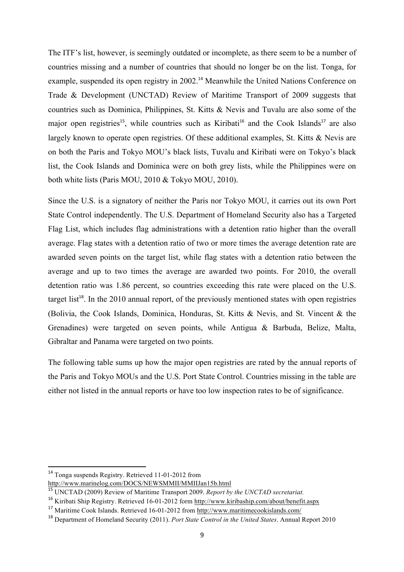The ITF's list, however, is seemingly outdated or incomplete, as there seem to be a number of countries missing and a number of countries that should no longer be on the list. Tonga, for example, suspended its open registry in 2002.<sup>14</sup> Meanwhile the United Nations Conference on Trade & Development (UNCTAD) Review of Maritime Transport of 2009 suggests that countries such as Dominica, Philippines, St. Kitts & Nevis and Tuvalu are also some of the major open registries<sup>15</sup>, while countries such as Kiribati<sup>16</sup> and the Cook Islands<sup>17</sup> are also largely known to operate open registries. Of these additional examples, St. Kitts & Nevis are on both the Paris and Tokyo MOU's black lists, Tuvalu and Kiribati were on Tokyo's black list, the Cook Islands and Dominica were on both grey lists, while the Philippines were on both white lists (Paris MOU, 2010 & Tokyo MOU, 2010).

Since the U.S. is a signatory of neither the Paris nor Tokyo MOU, it carries out its own Port State Control independently. The U.S. Department of Homeland Security also has a Targeted Flag List, which includes flag administrations with a detention ratio higher than the overall average. Flag states with a detention ratio of two or more times the average detention rate are awarded seven points on the target list, while flag states with a detention ratio between the average and up to two times the average are awarded two points. For 2010, the overall detention ratio was 1.86 percent, so countries exceeding this rate were placed on the U.S. target list<sup>18</sup>. In the 2010 annual report, of the previously mentioned states with open registries (Bolivia, the Cook Islands, Dominica, Honduras, St. Kitts & Nevis, and St. Vincent & the Grenadines) were targeted on seven points, while Antigua & Barbuda, Belize, Malta, Gibraltar and Panama were targeted on two points.

The following table sums up how the major open registries are rated by the annual reports of the Paris and Tokyo MOUs and the U.S. Port State Control. Countries missing in the table are either not listed in the annual reports or have too low inspection rates to be of significance.

 

<sup>14</sup> Tonga suspends Registry. Retrieved 11-01-2012 from

http://www.marinelog.com/DOCS/NEWSMMII/MMIIJan15b.html

<sup>15</sup> UNCTAD (2009) Review of Maritime Transport 2009. *Report by the UNCTAD secretariat.*

<sup>&</sup>lt;sup>16</sup> Kiribati Ship Registry. Retrieved 16-01-2012 form http://www.kiribaship.com/about/benefit.aspx

<sup>17</sup> Maritime Cook Islands. Retrieved 16-01-2012 from http://www.maritimecookislands.com/

<sup>18</sup> Department of Homeland Security (2011). *Port State Control in the United States*. Annual Report 2010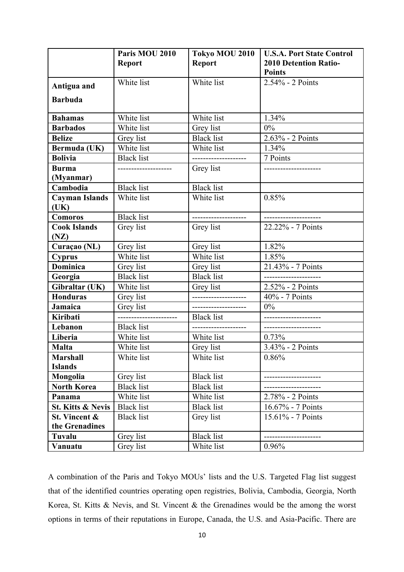|                              | Paris MOU 2010      | Tokyo MOU 2010       | <b>U.S.A. Port State Control</b> |
|------------------------------|---------------------|----------------------|----------------------------------|
|                              | <b>Report</b>       | <b>Report</b>        | <b>2010 Detention Ratio-</b>     |
|                              |                     |                      | <b>Points</b>                    |
| Antigua and                  | White list          | White list           | 2.54% - 2 Points                 |
|                              |                     |                      |                                  |
| <b>Barbuda</b>               |                     |                      |                                  |
| <b>Bahamas</b>               | White list          | White list           | 1.34%                            |
| <b>Barbados</b>              | White list          | Grey list            | 0%                               |
| <b>Belize</b>                | Grey list           | <b>Black</b> list    | 2.63% - 2 Points                 |
| Bermuda (UK)                 | White list          | White list           | 1.34%                            |
| <b>Bolivia</b>               | <b>Black list</b>   | -------------------- | 7 Points                         |
| <b>Burma</b>                 | ------------------- | Grey list            | -------------------              |
| (Myanmar)                    |                     |                      |                                  |
| Cambodia                     | <b>Black</b> list   | <b>Black</b> list    |                                  |
| <b>Cayman Islands</b>        | White list          | White list           | 0.85%                            |
| (UK)                         |                     |                      |                                  |
| Comoros                      | <b>Black list</b>   | -------------------  | ---------------------            |
| <b>Cook Islands</b>          | Grey list           | Grey list            | 22.22% - 7 Points                |
| (NZ)                         |                     |                      |                                  |
| Curaçao (NL)                 | Grey list           | Grey list            | 1.82%                            |
| <b>Cyprus</b>                | White list          | White list           | 1.85%                            |
| <b>Dominica</b>              | Grey list           | Grey list            | 21.43% - 7 Points                |
| Georgia                      | <b>Black list</b>   | <b>Black</b> list    |                                  |
| Gibraltar (UK)               | White list          | Grey list            | 2.52% - 2 Points                 |
| <b>Honduras</b>              | Grey list           | ------------------   | 40% - 7 Points                   |
| Jamaica                      | Grey list           | ------------------   | $0\%$                            |
| Kiribati                     | ------------------  | <b>Black</b> list    | -------------------              |
| Lebanon                      | <b>Black</b> list   | -------------------- | ---------------                  |
| Liberia                      | White list          | White list           | 0.73%                            |
| <b>Malta</b>                 | White list          | Grey list            | 3.43% - 2 Points                 |
| <b>Marshall</b>              | White list          | White list           | 0.86%                            |
| <b>Islands</b>               |                     |                      |                                  |
| Mongolia                     | Grey list           | <b>Black</b> list    |                                  |
| <b>North Korea</b>           | <b>Black list</b>   | <b>Black</b> list    |                                  |
| Panama                       | White list          | White list           | 2.78% - 2 Points                 |
| <b>St. Kitts &amp; Nevis</b> | <b>Black list</b>   | <b>Black</b> list    | 16.67% - 7 Points                |
| St. Vincent &                | <b>Black list</b>   | Grey list            | 15.61% - 7 Points                |
| the Grenadines               |                     |                      |                                  |
| Tuvalu                       | Grey list           | <b>Black</b> list    |                                  |
| Vanuatu                      | Grey list           | White list           | 0.96%                            |

A combination of the Paris and Tokyo MOUs' lists and the U.S. Targeted Flag list suggest that of the identified countries operating open registries, Bolivia, Cambodia, Georgia, North Korea, St. Kitts & Nevis, and St. Vincent & the Grenadines would be the among the worst options in terms of their reputations in Europe, Canada, the U.S. and Asia-Pacific. There are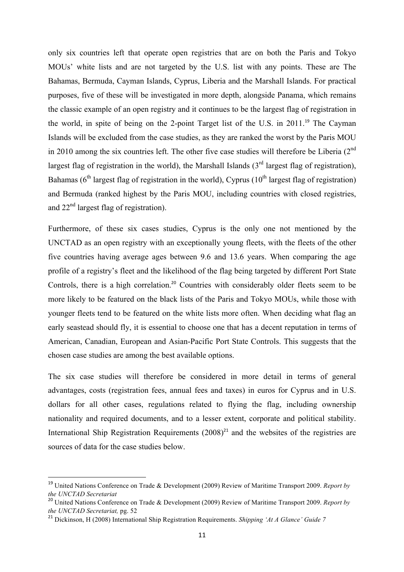only six countries left that operate open registries that are on both the Paris and Tokyo MOUs' white lists and are not targeted by the U.S. list with any points. These are The Bahamas, Bermuda, Cayman Islands, Cyprus, Liberia and the Marshall Islands. For practical purposes, five of these will be investigated in more depth, alongside Panama, which remains the classic example of an open registry and it continues to be the largest flag of registration in the world, in spite of being on the 2-point Target list of the U.S. in 2011.<sup>19</sup> The Cayman Islands will be excluded from the case studies, as they are ranked the worst by the Paris MOU in 2010 among the six countries left. The other five case studies will therefore be Liberia  $(2^{nd}$ largest flag of registration in the world), the Marshall Islands  $3<sup>rd</sup>$  largest flag of registration), Bahamas ( $6<sup>th</sup>$  largest flag of registration in the world), Cyprus ( $10<sup>th</sup>$  largest flag of registration) and Bermuda (ranked highest by the Paris MOU, including countries with closed registries, and  $22<sup>nd</sup>$  largest flag of registration).

Furthermore, of these six cases studies, Cyprus is the only one not mentioned by the UNCTAD as an open registry with an exceptionally young fleets, with the fleets of the other five countries having average ages between 9.6 and 13.6 years. When comparing the age profile of a registry's fleet and the likelihood of the flag being targeted by different Port State Controls, there is a high correlation.<sup>20</sup> Countries with considerably older fleets seem to be more likely to be featured on the black lists of the Paris and Tokyo MOUs, while those with younger fleets tend to be featured on the white lists more often. When deciding what flag an early seastead should fly, it is essential to choose one that has a decent reputation in terms of American, Canadian, European and Asian-Pacific Port State Controls. This suggests that the chosen case studies are among the best available options.

The six case studies will therefore be considered in more detail in terms of general advantages, costs (registration fees, annual fees and taxes) in euros for Cyprus and in U.S. dollars for all other cases, regulations related to flying the flag, including ownership nationality and required documents, and to a lesser extent, corporate and political stability. International Ship Registration Requirements  $(2008)^{21}$  and the websites of the registries are sources of data for the case studies below.

 

<sup>19</sup> United Nations Conference on Trade & Development (2009) Review of Maritime Transport 2009. *Report by the UNCTAD Secretariat*

<sup>20</sup> United Nations Conference on Trade & Development (2009) Review of Maritime Transport 2009. *Report by the UNCTAD Secretariat,* pg. 52

<sup>21</sup> Dickinson, H (2008) International Ship Registration Requirements. *Shipping 'At A Glance' Guide 7*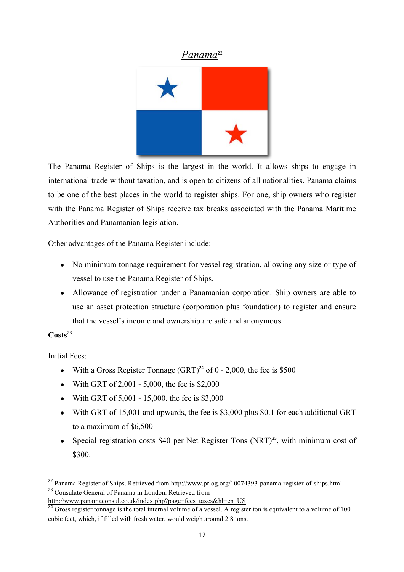### *Panama*<sup>22</sup>



The Panama Register of Ships is the largest in the world. It allows ships to engage in international trade without taxation, and is open to citizens of all nationalities. Panama claims to be one of the best places in the world to register ships. For one, ship owners who register with the Panama Register of Ships receive tax breaks associated with the Panama Maritime Authorities and Panamanian legislation.

Other advantages of the Panama Register include:

- No minimum tonnage requirement for vessel registration, allowing any size or type of vessel to use the Panama Register of Ships.
- Allowance of registration under a Panamanian corporation. Ship owners are able to use an asset protection structure (corporation plus foundation) to register and ensure that the vessel's income and ownership are safe and anonymous.

#### **Costs**<sup>23</sup>

Initial Fees:

- With a Gross Register Tonnage  $(GRT)^{24}$  of 0 2,000, the fee is \$500
- With GRT of  $2,001 5,000$ , the fee is \$2,000
- With GRT of  $5,001 15,000$ , the fee is \$3,000
- With GRT of 15,001 and upwards, the fee is \$3,000 plus \$0.1 for each additional GRT to a maximum of \$6,500
- Special registration costs \$40 per Net Register Tons  $(NRT)^{25}$ , with minimum cost of \$300.

 

<sup>22</sup> Panama Register of Ships. Retrieved from http://www.prlog.org/10074393-panama-register-of-ships.html <sup>23</sup> Consulate General of Panama in London. Retrieved from

http://www.panamaconsul.co.uk/index.php?page=fees\_taxes&hl=en\_US

 $\frac{24}{24}$  Gross register tonnage is the total internal volume of a vessel. A register ton is equivalent to a volume of 100 cubic feet, which, if filled with fresh water, would weigh around 2.8 tons.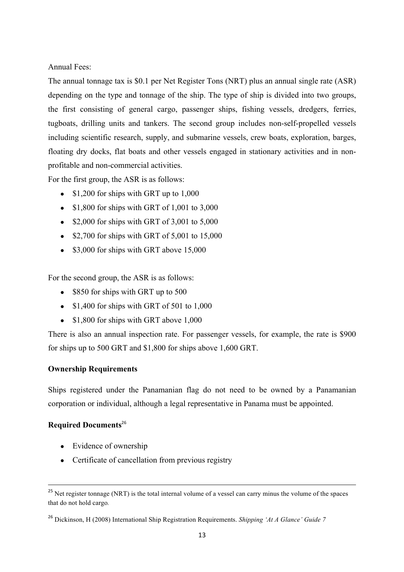Annual Fees:

The annual tonnage tax is \$0.1 per Net Register Tons (NRT) plus an annual single rate (ASR) depending on the type and tonnage of the ship. The type of ship is divided into two groups, the first consisting of general cargo, passenger ships, fishing vessels, dredgers, ferries, tugboats, drilling units and tankers. The second group includes non-self-propelled vessels including scientific research, supply, and submarine vessels, crew boats, exploration, barges, floating dry docks, flat boats and other vessels engaged in stationary activities and in nonprofitable and non-commercial activities.

For the first group, the ASR is as follows:

- $\bullet$  \$1,200 for ships with GRT up to 1,000
- $\bullet$  \$1,800 for ships with GRT of 1,001 to 3,000
- $\bullet$  \$2,000 for ships with GRT of 3,001 to 5,000
- $\bullet$  \$2,700 for ships with GRT of 5,001 to 15,000
- \$3,000 for ships with GRT above 15,000

For the second group, the ASR is as follows:

- \$850 for ships with GRT up to 500
- $\bullet$  \$1,400 for ships with GRT of 501 to 1,000
- \$1,800 for ships with GRT above 1,000

There is also an annual inspection rate. For passenger vessels, for example, the rate is \$900 for ships up to 500 GRT and \$1,800 for ships above 1,600 GRT.

#### **Ownership Requirements**

Ships registered under the Panamanian flag do not need to be owned by a Panamanian corporation or individual, although a legal representative in Panama must be appointed.

#### **Required Documents**<sup>26</sup>

- Evidence of ownership
- Certificate of cancellation from previous registry

<u> 1989 - Andrea Santa Alemania, amerikana amerikana amerikana amerikana amerikana amerikana amerikana amerikan</u>

<sup>&</sup>lt;sup>25</sup> Net register tonnage (NRT) is the total internal volume of a vessel can carry minus the volume of the spaces that do not hold cargo*.*

<sup>26</sup> Dickinson, H (2008) International Ship Registration Requirements. *Shipping 'At A Glance' Guide 7*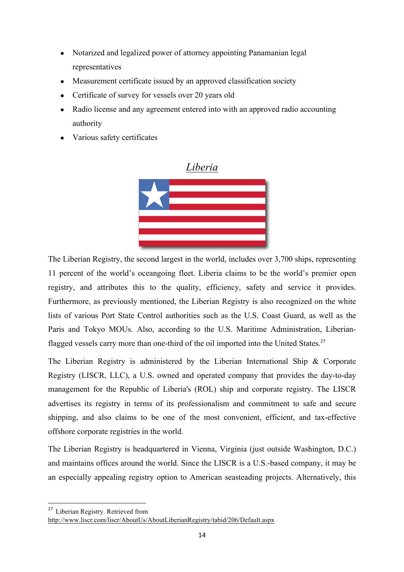- Notarized and legalized power of attorney appointing Panamanian legal representatives
- Measurement certificate issued by an approved classification society
- Certificate of survey for vessels over 20 years old
- Radio license and any agreement entered into with an approved radio accounting authority
- Various safety certificates



The Liberian Registry, the second largest in the world, includes over 3,700 ships, representing 11 percent of the world's oceangoing fleet. Liberia claims to be the world's premier open registry, and attributes this to the quality, efficiency, safety and service it provides. Furthermore, as previously mentioned, the Liberian Registry is also recognized on the white lists of various Port State Control authorities such as the U.S. Coast Guard, as well as the Paris and Tokyo MOUs. Also, according to the U.S. Maritime Administration, Liberianflagged vessels carry more than one-third of the oil imported into the United States.<sup>27</sup>

The Liberian Registry is administered by the Liberian International Ship & Corporate Registry (LISCR, LLC), a U.S. owned and operated company that provides the day-to-day management for the Republic of Liberia's (ROL) ship and corporate registry. The LISCR advertises its registry in terms of its professionalism and commitment to safe and secure shipping, and also claims to be one of the most convenient, efficient, and tax-effective offshore corporate registries in the world.

The Liberian Registry is headquartered in Vienna, Virginia (just outside Washington, D.C.) and maintains offices around the world. Since the LISCR is a U.S.-based company, it may be an especially appealing registry option to American seasteading projects. Alternatively, this

<sup>&</sup>lt;u> 1989 - Johann Stein, fransk politik (d. 1989)</u> <sup>27</sup> Liberian Registry. Retrieved from

http://www.liscr.com/liscr/AboutUs/AboutLiberianRegistry/tabid/206/Default.aspx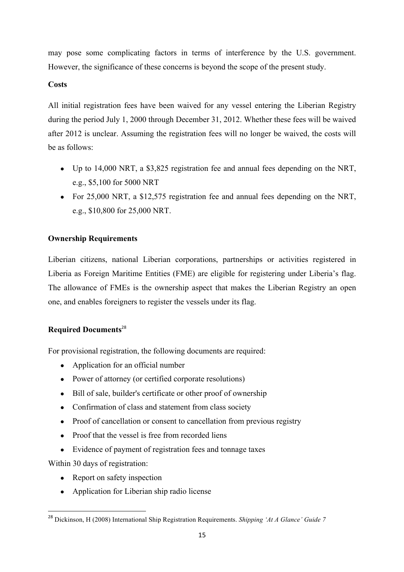may pose some complicating factors in terms of interference by the U.S. government. However, the significance of these concerns is beyond the scope of the present study.

#### **Costs**

All initial registration fees have been waived for any vessel entering the Liberian Registry during the period July 1, 2000 through December 31, 2012. Whether these fees will be waived after 2012 is unclear. Assuming the registration fees will no longer be waived, the costs will be as follows:

- Up to 14,000 NRT, a \$3,825 registration fee and annual fees depending on the NRT, e.g., \$5,100 for 5000 NRT
- For 25,000 NRT, a \$12,575 registration fee and annual fees depending on the NRT, e.g., \$10,800 for 25,000 NRT.

#### **Ownership Requirements**

Liberian citizens, national Liberian corporations, partnerships or activities registered in Liberia as Foreign Maritime Entities (FME) are eligible for registering under Liberia's flag. The allowance of FMEs is the ownership aspect that makes the Liberian Registry an open one, and enables foreigners to register the vessels under its flag.

#### **Required Documents**<sup>28</sup>

For provisional registration, the following documents are required:

- Application for an official number
- Power of attorney (or certified corporate resolutions)
- Bill of sale, builder's certificate or other proof of ownership
- Confirmation of class and statement from class society
- Proof of cancellation or consent to cancellation from previous registry
- Proof that the vessel is free from recorded liens
- Evidence of payment of registration fees and tonnage taxes

Within 30 days of registration:

- Report on safety inspection
- Application for Liberian ship radio license

<sup>28</sup> Dickinson, H (2008) International Ship Registration Requirements. *Shipping 'At A Glance' Guide 7*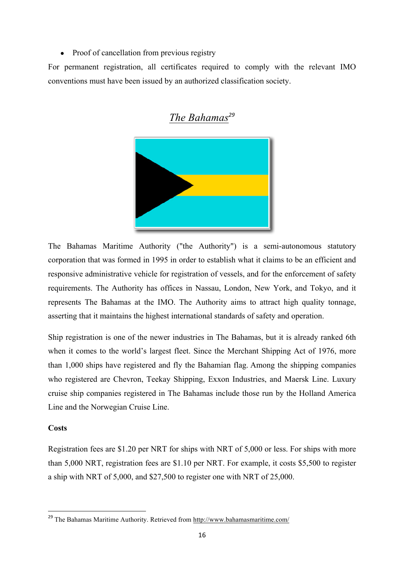• Proof of cancellation from previous registry

For permanent registration, all certificates required to comply with the relevant IMO conventions must have been issued by an authorized classification society.



## *The Bahamas<sup>29</sup>*

The Bahamas Maritime Authority ("the Authority") is a semi-autonomous statutory corporation that was formed in 1995 in order to establish what it claims to be an efficient and responsive administrative vehicle for registration of vessels, and for the enforcement of safety requirements. The Authority has offices in Nassau, London, New York, and Tokyo, and it represents The Bahamas at the IMO. The Authority aims to attract high quality tonnage, asserting that it maintains the highest international standards of safety and operation.

Ship registration is one of the newer industries in The Bahamas, but it is already ranked 6th when it comes to the world's largest fleet. Since the Merchant Shipping Act of 1976, more than 1,000 ships have registered and fly the Bahamian flag. Among the shipping companies who registered are Chevron, Teekay Shipping, Exxon Industries, and Maersk Line. Luxury cruise ship companies registered in The Bahamas include those run by the Holland America Line and the Norwegian Cruise Line.

#### **Costs**

<u> 1989 - Johann Stein, fransk politik (d. 1989)</u>

Registration fees are \$1.20 per NRT for ships with NRT of 5,000 or less. For ships with more than 5,000 NRT, registration fees are \$1.10 per NRT. For example, it costs \$5,500 to register a ship with NRT of 5,000, and \$27,500 to register one with NRT of 25,000.

<sup>&</sup>lt;sup>29</sup> The Bahamas Maritime Authority. Retrieved from http://www.bahamasmaritime.com/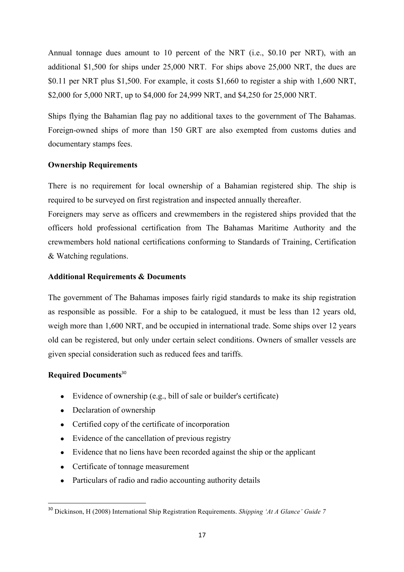Annual tonnage dues amount to 10 percent of the NRT (i.e., \$0.10 per NRT), with an additional \$1,500 for ships under 25,000 NRT. For ships above 25,000 NRT, the dues are \$0.11 per NRT plus \$1,500. For example, it costs \$1,660 to register a ship with 1,600 NRT, \$2,000 for 5,000 NRT, up to \$4,000 for 24,999 NRT, and \$4,250 for 25,000 NRT.

Ships flying the Bahamian flag pay no additional taxes to the government of The Bahamas. Foreign-owned ships of more than 150 GRT are also exempted from customs duties and documentary stamps fees.

#### **Ownership Requirements**

There is no requirement for local ownership of a Bahamian registered ship. The ship is required to be surveyed on first registration and inspected annually thereafter.

Foreigners may serve as officers and crewmembers in the registered ships provided that the officers hold professional certification from The Bahamas Maritime Authority and the crewmembers hold national certifications conforming to Standards of Training, Certification & Watching regulations.

#### **Additional Requirements & Documents**

The government of The Bahamas imposes fairly rigid standards to make its ship registration as responsible as possible. For a ship to be catalogued, it must be less than 12 years old, weigh more than 1,600 NRT, and be occupied in international trade. Some ships over 12 years old can be registered, but only under certain select conditions. Owners of smaller vessels are given special consideration such as reduced fees and tariffs.

#### **Required Documents**<sup>30</sup>

- Evidence of ownership (e.g., bill of sale or builder's certificate)
- Declaration of ownership

- Certified copy of the certificate of incorporation
- Evidence of the cancellation of previous registry
- Evidence that no liens have been recorded against the ship or the applicant
- Certificate of tonnage measurement
- Particulars of radio and radio accounting authority details

<sup>30</sup> Dickinson, H (2008) International Ship Registration Requirements. *Shipping 'At A Glance' Guide 7*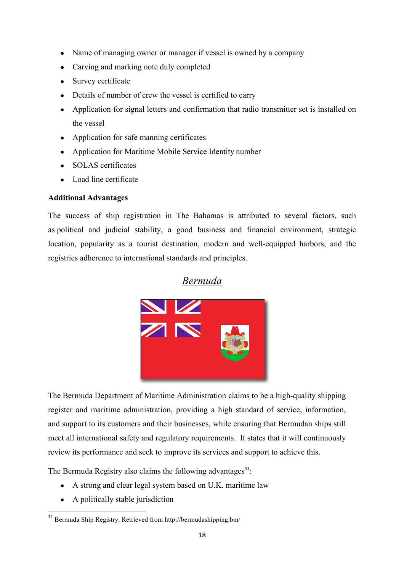- Name of managing owner or manager if vessel is owned by a company
- Carving and marking note duly completed
- Survey certificate
- Details of number of crew the vessel is certified to carry
- Application for signal letters and confirmation that radio transmitter set is installed on the vessel
- Application for safe manning certificates
- Application for Maritime Mobile Service Identity number
- SOLAS certificates
- Load line certificate

#### **Additional Advantages**

The success of ship registration in The Bahamas is attributed to several factors, such as political and judicial stability, a good business and financial environment, strategic location, popularity as a tourist destination, modern and well-equipped harbors, and the registries adherence to international standards and principles.

### *Bermuda*



The Bermuda Department of Maritime Administration claims to be a high-quality shipping register and maritime administration, providing a high standard of service, information, and support to its customers and their businesses, while ensuring that Bermudan ships still meet all international safety and regulatory requirements. It states that it will continuously review its performance and seek to improve its services and support to achieve this.

The Bermuda Registry also claims the following advantages<sup>31</sup>:

- A strong and clear legal system based on U.K. maritime law
- A politically stable jurisdiction

<sup>&</sup>lt;sup>31</sup> Bermuda Ship Registry. Retrieved from http://bermudashipping.bm/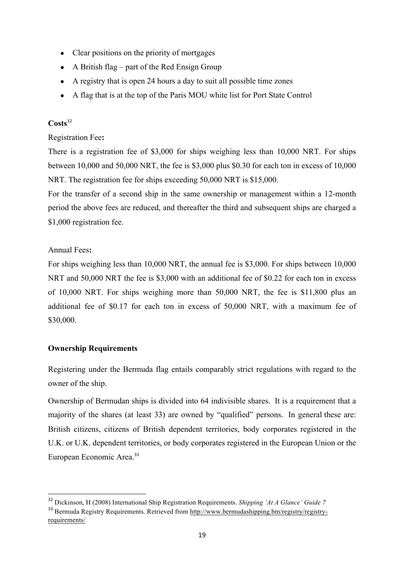- Clear positions on the priority of mortgages
- $\bullet$  A British flag part of the Red Ensign Group
- A registry that is open 24 hours a day to suit all possible time zones
- A flag that is at the top of the Paris MOU white list for Port State Control

#### **Costs**<sup>32</sup>

#### Registration Fee**:**

There is a registration fee of \$3,000 for ships weighing less than 10,000 NRT. For ships between 10,000 and 50,000 NRT, the fee is \$3,000 plus \$0.30 for each ton in excess of 10,000 NRT. The registration fee for ships exceeding 50,000 NRT is \$15,000.

For the transfer of a second ship in the same ownership or management within a 12-month period the above fees are reduced, and thereafter the third and subsequent ships are charged a \$1,000 registration fee.

#### Annual Fees**:**

For ships weighing less than 10,000 NRT, the annual fee is \$3,000. For ships between 10,000 NRT and 50,000 NRT the fee is \$3,000 with an additional fee of \$0.22 for each ton in excess of 10,000 NRT. For ships weighing more than 50,000 NRT, the fee is \$11,800 plus an additional fee of \$0.17 for each ton in excess of 50,000 NRT, with a maximum fee of \$30,000.

#### **Ownership Requirements**

<u> 1989 - Johann Stein, fransk politik (d. 1989)</u>

Registering under the Bermuda flag entails comparably strict regulations with regard to the owner of the ship.

Ownership of Bermudan ships is divided into 64 indivisible shares. It is a requirement that a majority of the shares (at least 33) are owned by "qualified" persons. In general these are: British citizens, citizens of British dependent territories, body corporates registered in the U.K. or U.K. dependent territories, or body corporates registered in the European Union or the European Economic Area.<sup>33</sup>

<sup>32</sup> Dickinson, H (2008) International Ship Registration Requirements. *Shipping 'At A Glance' Guide 7*

<sup>&</sup>lt;sup>33</sup> Bermuda Registry Requirements. Retrieved from http://www.bermudashipping.bm/registry/registryrequirements/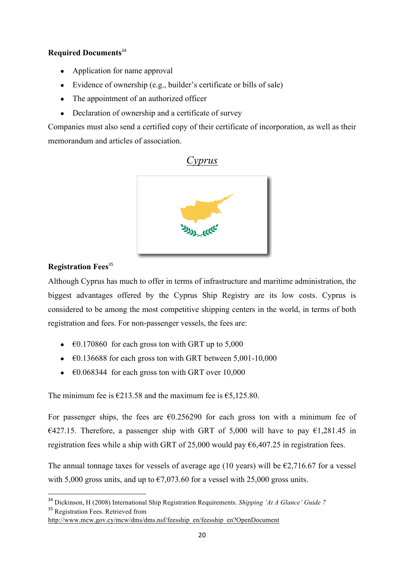#### **Required Documents**<sup>34</sup>

- Application for name approval
- Evidence of ownership (e.g., builder's certificate or bills of sale)
- The appointment of an authorized officer
- Declaration of ownership and a certificate of survey

Companies must also send a certified copy of their certificate of incorporation, as well as their memorandum and articles of association.



#### **Registration Fees**<sup>35</sup>

<u> 1989 - Johann Stein, fransk politik (d. 1989)</u>

Although Cyprus has much to offer in terms of infrastructure and maritime administration, the biggest advantages offered by the Cyprus Ship Registry are its low costs. Cyprus is considered to be among the most competitive shipping centers in the world, in terms of both registration and fees. For non-passenger vessels, the fees are:

- $\bullet$   $\in$  60.170860 for each gross ton with GRT up to 5,000
- $\bullet$   $\epsilon$ 0.136688 for each gross ton with GRT between 5,001-10,000
- $\bullet$   $\epsilon$ 0.068344 for each gross ton with GRT over 10,000

The minimum fee is  $\epsilon$ 213.58 and the maximum fee is  $\epsilon$ 5,125.80.

For passenger ships, the fees are  $\epsilon$ 0.256290 for each gross ton with a minimum fee of €427.15. Therefore, a passenger ship with GRT of 5,000 will have to pay €1,281.45 in registration fees while a ship with GRT of 25,000 would pay  $\epsilon$ 6,407.25 in registration fees.

The annual tonnage taxes for vessels of average age (10 years) will be  $\epsilon$ 2,716.67 for a vessel with 5,000 gross units, and up to  $\epsilon$ 7,073.60 for a vessel with 25,000 gross units.

<sup>34</sup> Dickinson, H (2008) International Ship Registration Requirements. *Shipping 'At A Glance' Guide 7* <sup>35</sup> Registration Fees. Retrieved from

http://www.mcw.gov.cy/mcw/dms/dms.nsf/feesship\_en/feesship\_en?OpenDocument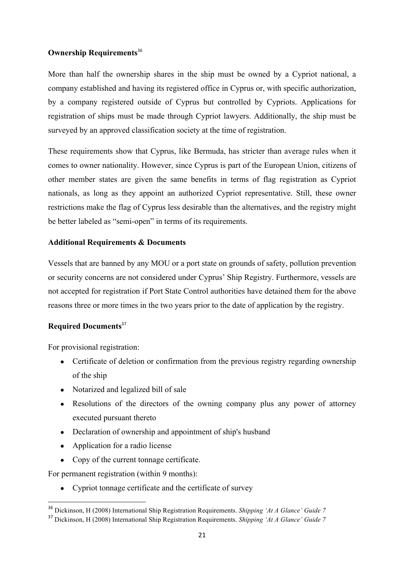#### **Ownership Requirements**<sup>36</sup>

More than half the ownership shares in the ship must be owned by a Cypriot national, a company established and having its registered office in Cyprus or, with specific authorization, by a company registered outside of Cyprus but controlled by Cypriots. Applications for registration of ships must be made through Cypriot lawyers. Additionally, the ship must be surveyed by an approved classification society at the time of registration.

These requirements show that Cyprus, like Bermuda, has stricter than average rules when it comes to owner nationality. However, since Cyprus is part of the European Union, citizens of other member states are given the same benefits in terms of flag registration as Cypriot nationals, as long as they appoint an authorized Cypriot representative. Still, these owner restrictions make the flag of Cyprus less desirable than the alternatives, and the registry might be better labeled as "semi-open" in terms of its requirements.

#### **Additional Requirements & Documents**

Vessels that are banned by any MOU or a port state on grounds of safety, pollution prevention or security concerns are not considered under Cyprus' Ship Registry. Furthermore, vessels are not accepted for registration if Port State Control authorities have detained them for the above reasons three or more times in the two years prior to the date of application by the registry.

#### **Required Documents**<sup>37</sup>

For provisional registration:

- Certificate of deletion or confirmation from the previous registry regarding ownership of the ship
- Notarized and legalized bill of sale
- Resolutions of the directors of the owning company plus any power of attorney executed pursuant thereto
- Declaration of ownership and appointment of ship's husband
- Application for a radio license

<u> 1989 - Johann Stein, fransk politik (d. 1989)</u>

• Copy of the current tonnage certificate.

For permanent registration (within 9 months):

• Cypriot tonnage certificate and the certificate of survey

<sup>36</sup> Dickinson, H (2008) International Ship Registration Requirements. *Shipping 'At A Glance' Guide 7*

<sup>37</sup> Dickinson, H (2008) International Ship Registration Requirements. *Shipping 'At A Glance' Guide 7*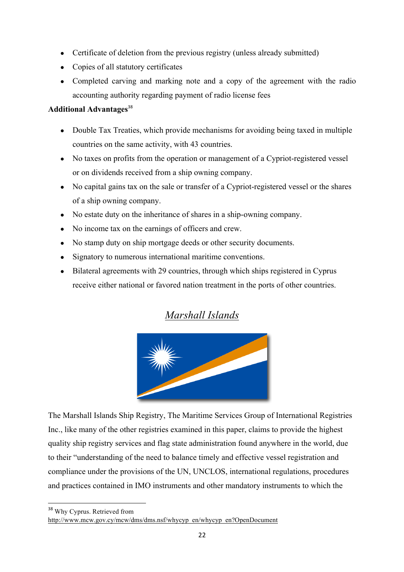- Certificate of deletion from the previous registry (unless already submitted)
- Copies of all statutory certificates
- Completed carving and marking note and a copy of the agreement with the radio accounting authority regarding payment of radio license fees

#### **Additional Advantages**<sup>38</sup>

- Double Tax Treaties, which provide mechanisms for avoiding being taxed in multiple countries on the same activity, with 43 countries.
- No taxes on profits from the operation or management of a Cypriot-registered vessel or on dividends received from a ship owning company.
- No capital gains tax on the sale or transfer of a Cypriot-registered vessel or the shares of a ship owning company.
- No estate duty on the inheritance of shares in a ship-owning company.
- No income tax on the earnings of officers and crew.
- No stamp duty on ship mortgage deeds or other security documents.
- Signatory to numerous international maritime conventions.
- Bilateral agreements with 29 countries, through which ships registered in Cyprus receive either national or favored nation treatment in the ports of other countries.

### *Marshall Islands*



The Marshall Islands Ship Registry, The Maritime Services Group of International Registries Inc., like many of the other registries examined in this paper, claims to provide the highest quality ship registry services and flag state administration found anywhere in the world, due to their "understanding of the need to balance timely and effective vessel registration and compliance under the provisions of the UN, UNCLOS, international regulations, procedures and practices contained in IMO instruments and other mandatory instruments to which the

<sup>38</sup> Why Cyprus. Retrieved from

http://www.mcw.gov.cy/mcw/dms/dms.nsf/whycyp\_en/whycyp\_en?OpenDocument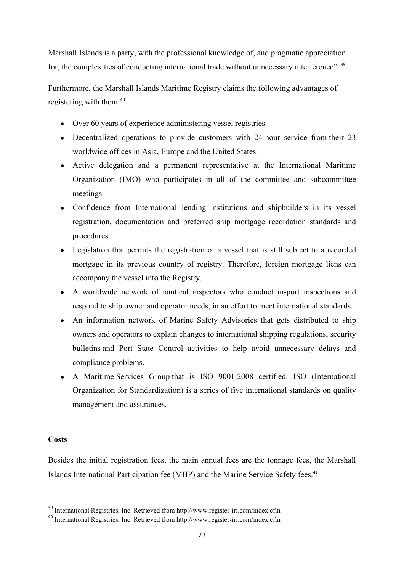Marshall Islands is a party, with the professional knowledge of, and pragmatic appreciation for, the complexities of conducting international trade without unnecessary interference". <sup>39</sup>

Furthermore, the Marshall Islands Maritime Registry claims the following advantages of registering with them:<sup>40</sup>

- Over 60 years of experience administering vessel registries.
- Decentralized operations to provide customers with 24-hour service from their 23 worldwide offices in Asia, Europe and the United States.
- Active delegation and a permanent representative at the International Maritime Organization (IMO) who participates in all of the committee and subcommittee meetings.
- Confidence from International lending institutions and shipbuilders in its vessel registration, documentation and preferred ship mortgage recordation standards and procedures.
- Legislation that permits the registration of a vessel that is still subject to a recorded mortgage in its previous country of registry. Therefore, foreign mortgage liens can accompany the vessel into the Registry.
- A worldwide network of nautical inspectors who conduct in-port inspections and respond to ship owner and operator needs, in an effort to meet international standards.
- An information network of Marine Safety Advisories that gets distributed to ship owners and operators to explain changes to international shipping regulations, security bulletins and Port State Control activities to help avoid unnecessary delays and compliance problems.
- A Maritime Services Group that is ISO 9001:2008 certified. ISO (International Organization for Standardization) is a series of five international standards on quality management and assurances.

#### **Costs**

<u> 1989 - Johann Stein, fransk politik (d. 1989)</u>

Besides the initial registration fees, the main annual fees are the tonnage fees, the Marshall Islands International Participation fee (MIIP) and the Marine Service Safety fees.<sup>41</sup>

<sup>39</sup> International Registries, Inc. Retrieved from http://www.register-iri.com/index.cfm

<sup>40</sup> International Registries, Inc. Retrieved from http://www.register-iri.com/index.cfm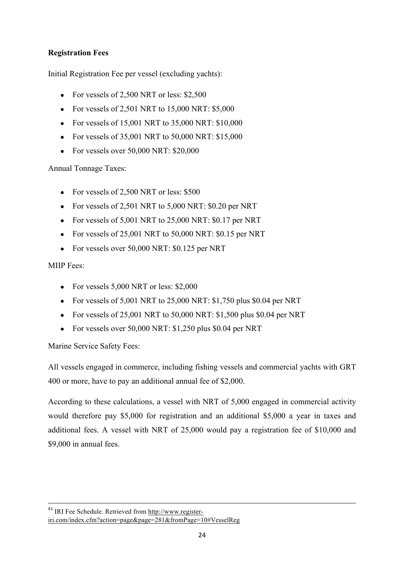#### **Registration Fees**

Initial Registration Fee per vessel (excluding yachts):

- For vessels of  $2,500$  NRT or less: \$2,500
- For vessels of 2,501 NRT to  $15,000$  NRT: \$5,000
- For vessels of 15,001 NRT to  $35,000$  NRT:  $$10,000$
- For vessels of  $35,001$  NRT to  $50,000$  NRT:  $$15,000$
- For vessels over  $50,000$  NRT:  $$20,000$

Annual Tonnage Taxes:

- For vessels of 2,500 NRT or less: \$500
- For vessels of 2,501 NRT to  $5,000$  NRT: \$0.20 per NRT
- For vessels of  $5,001$  NRT to  $25,000$  NRT:  $$0.17$  per NRT
- For vessels of  $25,001$  NRT to  $50,000$  NRT:  $$0.15$  per NRT
- For vessels over 50,000 NRT: \$0.125 per NRT

#### MIIP Fees:

- For vessels  $5,000$  NRT or less: \$2,000
- For vessels of  $5,001$  NRT to  $25,000$  NRT: \$1,750 plus \$0.04 per NRT
- For vessels of 25,001 NRT to 50,000 NRT: \$1,500 plus \$0.04 per NRT
- For vessels over 50,000 NRT: \$1,250 plus \$0.04 per NRT

Marine Service Safety Fees:

All vessels engaged in commerce, including fishing vessels and commercial yachts with GRT 400 or more, have to pay an additional annual fee of \$2,000.

According to these calculations, a vessel with NRT of 5,000 engaged in commercial activity would therefore pay \$5,000 for registration and an additional \$5,000 a year in taxes and additional fees. A vessel with NRT of 25,000 would pay a registration fee of \$10,000 and \$9,000 in annual fees.

<u> 1989 - Andrea Santa Alemania, amerikana amerikana amerikana amerikana amerikana amerikana amerikana amerikan</u>

<sup>41</sup> IRI Fee Schedule. Retrieved from http://www.register-

iri.com/index.cfm?action=page&page=281&fromPage=10#VesselReg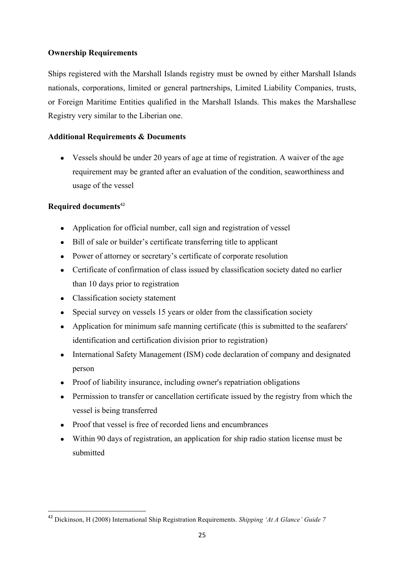#### **Ownership Requirements**

Ships registered with the Marshall Islands registry must be owned by either Marshall Islands nationals, corporations, limited or general partnerships, Limited Liability Companies, trusts, or Foreign Maritime Entities qualified in the Marshall Islands. This makes the Marshallese Registry very similar to the Liberian one.

#### **Additional Requirements & Documents**

• Vessels should be under 20 years of age at time of registration. A waiver of the age requirement may be granted after an evaluation of the condition, seaworthiness and usage of the vessel

#### **Required documents**<sup>42</sup>

- Application for official number, call sign and registration of vessel
- Bill of sale or builder's certificate transferring title to applicant
- Power of attorney or secretary's certificate of corporate resolution
- Certificate of confirmation of class issued by classification society dated no earlier than 10 days prior to registration
- Classification society statement

- Special survey on vessels 15 years or older from the classification society
- Application for minimum safe manning certificate (this is submitted to the seafarers' identification and certification division prior to registration)
- International Safety Management (ISM) code declaration of company and designated person
- Proof of liability insurance, including owner's repatriation obligations
- Permission to transfer or cancellation certificate issued by the registry from which the vessel is being transferred
- Proof that vessel is free of recorded liens and encumbrances
- Within 90 days of registration, an application for ship radio station license must be submitted

<sup>42</sup> Dickinson, H (2008) International Ship Registration Requirements. *Shipping 'At A Glance' Guide 7*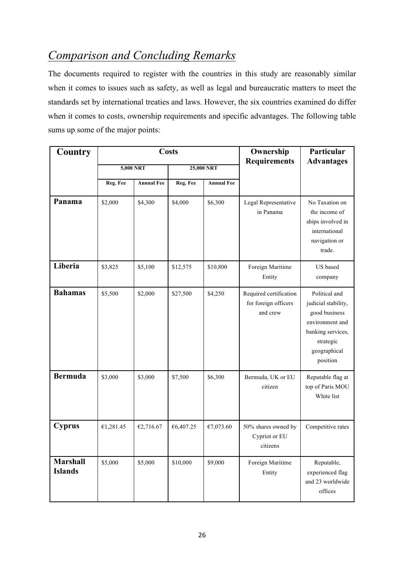# *Comparison and Concluding Remarks*

The documents required to register with the countries in this study are reasonably similar when it comes to issues such as safety, as well as legal and bureaucratic matters to meet the standards set by international treaties and laws. However, the six countries examined do differ when it comes to costs, ownership requirements and specific advantages. The following table sums up some of the major points:

| Country                           | <b>Costs</b> |                   |           | Ownership<br><b>Requirements</b> | Particular<br><b>Advantages</b>                            |                                                                                                                                        |
|-----------------------------------|--------------|-------------------|-----------|----------------------------------|------------------------------------------------------------|----------------------------------------------------------------------------------------------------------------------------------------|
|                                   |              | 5,000 NRT         |           | 25,000 NRT                       |                                                            |                                                                                                                                        |
|                                   | Reg. Fee     | <b>Annual Fee</b> | Reg. Fee  | <b>Annual Fee</b>                |                                                            |                                                                                                                                        |
| Panama                            | \$2,000      | \$4,300           | \$4,000   | \$6,300                          | Legal Representative<br>in Panama                          | No Taxation on<br>the income of<br>ships involved in<br>international<br>navigation or<br>trade.                                       |
| Liberia                           | \$3,825      | \$5,100           | \$12,575  | \$10,800                         | Foreign Maritime<br>Entity                                 | US based<br>company                                                                                                                    |
| <b>Bahamas</b>                    | \$5,500      | \$2,000           | \$27,500  | \$4,250                          | Required certification<br>for foreign officers<br>and crew | Political and<br>judicial stability,<br>good business<br>environment and<br>banking services,<br>strategic<br>geographical<br>position |
| <b>Bermuda</b>                    | \$3,000      | \$3,000           | \$7,500   | \$6,300                          | Bermuda, UK or EU<br>citizen                               | Reputable flag at<br>top of Paris MOU<br>White list                                                                                    |
| <b>Cyprus</b>                     | €1,281.45    | €2,716.67         | €6,407.25 | €7,073.60                        | 50% shares owned by<br>Cypriot or EU<br>citizens           | Competitive rates                                                                                                                      |
| <b>Marshall</b><br><b>Islands</b> | \$5,000      | \$5,000           | \$10,000  | \$9,000                          | Foreign Maritime<br>Entity                                 | Reputable,<br>experienced flag<br>and 23 worldwide<br>offices                                                                          |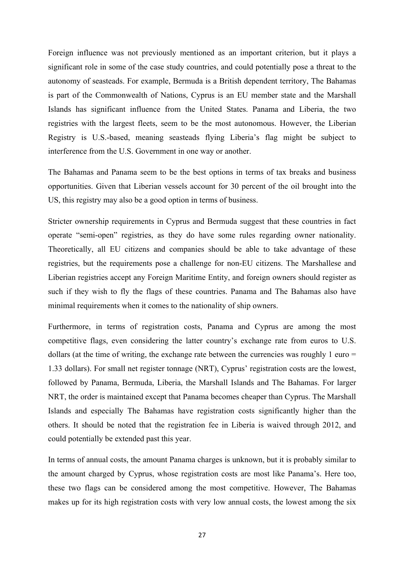Foreign influence was not previously mentioned as an important criterion, but it plays a significant role in some of the case study countries, and could potentially pose a threat to the autonomy of seasteads. For example, Bermuda is a British dependent territory, The Bahamas is part of the Commonwealth of Nations, Cyprus is an EU member state and the Marshall Islands has significant influence from the United States. Panama and Liberia, the two registries with the largest fleets, seem to be the most autonomous. However, the Liberian Registry is U.S.-based, meaning seasteads flying Liberia's flag might be subject to interference from the U.S. Government in one way or another.

The Bahamas and Panama seem to be the best options in terms of tax breaks and business opportunities. Given that Liberian vessels account for 30 percent of the oil brought into the US, this registry may also be a good option in terms of business.

Stricter ownership requirements in Cyprus and Bermuda suggest that these countries in fact operate "semi-open" registries, as they do have some rules regarding owner nationality. Theoretically, all EU citizens and companies should be able to take advantage of these registries, but the requirements pose a challenge for non-EU citizens. The Marshallese and Liberian registries accept any Foreign Maritime Entity, and foreign owners should register as such if they wish to fly the flags of these countries. Panama and The Bahamas also have minimal requirements when it comes to the nationality of ship owners.

Furthermore, in terms of registration costs, Panama and Cyprus are among the most competitive flags, even considering the latter country's exchange rate from euros to U.S. dollars (at the time of writing, the exchange rate between the currencies was roughly 1 euro  $=$ 1.33 dollars). For small net register tonnage (NRT), Cyprus' registration costs are the lowest, followed by Panama, Bermuda, Liberia, the Marshall Islands and The Bahamas. For larger NRT, the order is maintained except that Panama becomes cheaper than Cyprus. The Marshall Islands and especially The Bahamas have registration costs significantly higher than the others. It should be noted that the registration fee in Liberia is waived through 2012, and could potentially be extended past this year.

In terms of annual costs, the amount Panama charges is unknown, but it is probably similar to the amount charged by Cyprus, whose registration costs are most like Panama's. Here too, these two flags can be considered among the most competitive. However, The Bahamas makes up for its high registration costs with very low annual costs, the lowest among the six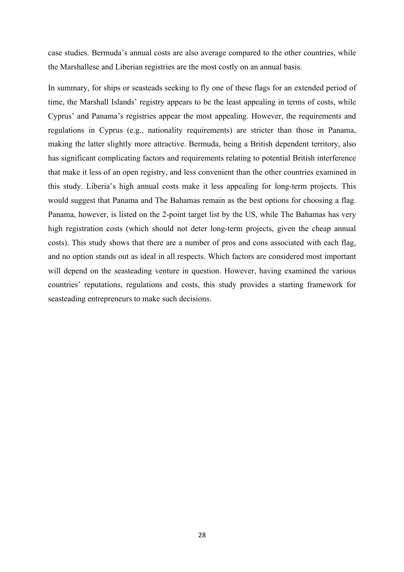case studies. Bermuda's annual costs are also average compared to the other countries, while the Marshallese and Liberian registries are the most costly on an annual basis.

In summary, for ships or seasteads seeking to fly one of these flags for an extended period of time, the Marshall Islands' registry appears to be the least appealing in terms of costs, while Cyprus' and Panama's registries appear the most appealing. However, the requirements and regulations in Cyprus (e.g., nationality requirements) are stricter than those in Panama, making the latter slightly more attractive. Bermuda, being a British dependent territory, also has significant complicating factors and requirements relating to potential British interference that make it less of an open registry, and less convenient than the other countries examined in this study. Liberia's high annual costs make it less appealing for long-term projects. This would suggest that Panama and The Bahamas remain as the best options for choosing a flag. Panama, however, is listed on the 2-point target list by the US, while The Bahamas has very high registration costs (which should not deter long-term projects, given the cheap annual costs). This study shows that there are a number of pros and cons associated with each flag, and no option stands out as ideal in all respects. Which factors are considered most important will depend on the seasteading venture in question. However, having examined the various countries' reputations, regulations and costs, this study provides a starting framework for seasteading entrepreneurs to make such decisions.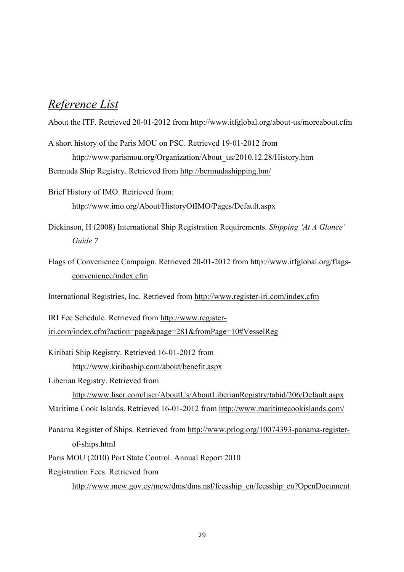# *Reference List*

About the ITF. Retrieved 20-01-2012 from http://www.itfglobal.org/about-us/moreabout.cfm

- A short history of the Paris MOU on PSC. Retrieved 19-01-2012 from http://www.parismou.org/Organization/About\_us/2010.12.28/History.htm Bermuda Ship Registry. Retrieved from http://bermudashipping.bm/
- Brief History of IMO. Retrieved from: http://www.imo.org/About/HistoryOfIMO/Pages/Default.aspx
- Dickinson, H (2008) International Ship Registration Requirements. *Shipping 'At A Glance' Guide 7*
- Flags of Convenience Campaign. Retrieved 20-01-2012 from http://www.itfglobal.org/flagsconvenience/index.cfm

International Registries, Inc. Retrieved from http://www.register-iri.com/index.cfm

IRI Fee Schedule. Retrieved from http://www.register-

iri.com/index.cfm?action=page&page=281&fromPage=10#VesselReg

Kiribati Ship Registry. Retrieved 16-01-2012 from

http://www.kiribaship.com/about/benefit.aspx

Liberian Registry. Retrieved from

http://www.liscr.com/liscr/AboutUs/AboutLiberianRegistry/tabid/206/Default.aspx Maritime Cook Islands. Retrieved 16-01-2012 from http://www.maritimecookislands.com/

Panama Register of Ships. Retrieved from http://www.prlog.org/10074393-panama-registerof-ships.html

Paris MOU (2010) Port State Control. Annual Report 2010

Registration Fees. Retrieved from

http://www.mcw.gov.cy/mcw/dms/dms.nsf/feesship\_en/feesship\_en?OpenDocument